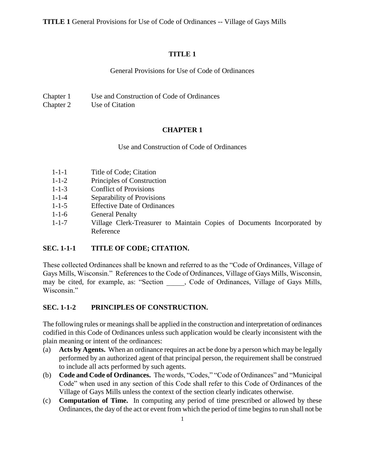**TITLE 1** General Provisions for Use of Code of Ordinances -- Village of Gays Mills

### **TITLE 1**

General Provisions for Use of Code of Ordinances

Chapter 1 Use and Construction of Code of Ordinances

Chapter 2 Use of Citation

# **CHAPTER 1**

Use and Construction of Code of Ordinances

- 1-1-1 Title of Code; Citation
- 1-1-2 Principles of Construction
- 1-1-3 Conflict of Provisions
- 1-1-4 Separability of Provisions
- 1-1-5 Effective Date of Ordinances
- 1-1-6 General Penalty
- 1-1-7 Village Clerk-Treasurer to Maintain Copies of Documents Incorporated by Reference

# **SEC. 1-1-1 TITLE OF CODE; CITATION.**

These collected Ordinances shall be known and referred to as the "Code of Ordinances, Village of Gays Mills, Wisconsin." References to the Code of Ordinances, Village of Gays Mills, Wisconsin, may be cited, for example, as: "Section . Code of Ordinances, Village of Gays Mills, Wisconsin."

#### **SEC. 1-1-2 PRINCIPLES OF CONSTRUCTION.**

The following rules or meanings shall be applied in the construction and interpretation of ordinances codified in this Code of Ordinances unless such application would be clearly inconsistent with the plain meaning or intent of the ordinances:

- (a) **Acts by Agents.** When an ordinance requires an act be done by a person which may be legally performed by an authorized agent of that principal person, the requirement shall be construed to include all acts performed by such agents.
- (b) **Code and Code of Ordinances.** The words, "Codes," "Code of Ordinances" and "Municipal Code" when used in any section of this Code shall refer to this Code of Ordinances of the Village of Gays Mills unless the context of the section clearly indicates otherwise.
- (c) **Computation of Time.** In computing any period of time prescribed or allowed by these Ordinances, the day of the act or event from which the period of time begins to run shall not be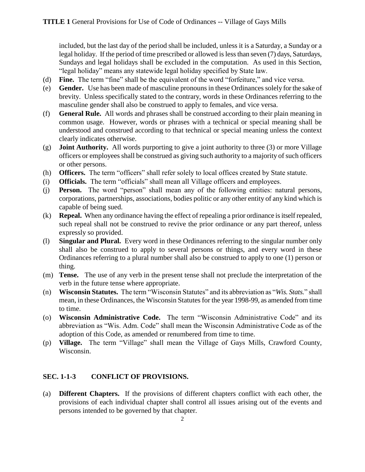included, but the last day of the period shall be included, unless it is a Saturday, a Sunday or a legal holiday. If the period of time prescribed or allowed is less than seven (7) days, Saturdays, Sundays and legal holidays shall be excluded in the computation. As used in this Section, "legal holiday" means any statewide legal holiday specified by State law.

- (d) **Fine.** The term "fine" shall be the equivalent of the word "forfeiture," and vice versa.
- (e) **Gender.** Use has been made of masculine pronouns in these Ordinances solely for the sake of brevity. Unless specifically stated to the contrary, words in these Ordinances referring to the masculine gender shall also be construed to apply to females, and vice versa.
- (f) **General Rule.** All words and phrases shall be construed according to their plain meaning in common usage. However, words or phrases with a technical or special meaning shall be understood and construed according to that technical or special meaning unless the context clearly indicates otherwise.
- (g) **Joint Authority.** All words purporting to give a joint authority to three (3) or more Village officers or employees shall be construed as giving such authority to a majority of such officers or other persons.
- (h) **Officers.** The term "officers" shall refer solely to local offices created by State statute.
- (i) **Officials.** The term "officials" shall mean all Village officers and employees.
- (j) **Person.** The word "person" shall mean any of the following entities: natural persons, corporations, partnerships, associations, bodies politic or any other entity of any kind which is capable of being sued.
- (k) **Repeal.** When any ordinance having the effect of repealing a prior ordinance is itself repealed, such repeal shall not be construed to revive the prior ordinance or any part thereof, unless expressly so provided.
- (l) **Singular and Plural.** Every word in these Ordinances referring to the singular number only shall also be construed to apply to several persons or things, and every word in these Ordinances referring to a plural number shall also be construed to apply to one (1) person or thing.
- (m) **Tense.** The use of any verb in the present tense shall not preclude the interpretation of the verb in the future tense where appropriate.
- (n) **Wisconsin Statutes.** The term "Wisconsin Statutes" and its abbreviation as "*Wis. Stats.*" shall mean, in these Ordinances, the Wisconsin Statutes for the year 1998-99, as amended from time to time.
- (o) **Wisconsin Administrative Code.** The term "Wisconsin Administrative Code" and its abbreviation as "Wis. Adm. Code" shall mean the Wisconsin Administrative Code as of the adoption of this Code, as amended or renumbered from time to time.
- (p) **Village.** The term "Village" shall mean the Village of Gays Mills, Crawford County, Wisconsin.

# **SEC. 1-1-3 CONFLICT OF PROVISIONS.**

(a) **Different Chapters.** If the provisions of different chapters conflict with each other, the provisions of each individual chapter shall control all issues arising out of the events and persons intended to be governed by that chapter.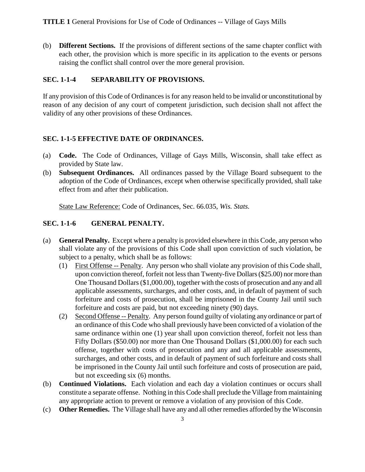(b) **Different Sections.** If the provisions of different sections of the same chapter conflict with each other, the provision which is more specific in its application to the events or persons raising the conflict shall control over the more general provision.

### **SEC. 1-1-4 SEPARABILITY OF PROVISIONS.**

If any provision of this Code of Ordinances is for any reason held to be invalid or unconstitutional by reason of any decision of any court of competent jurisdiction, such decision shall not affect the validity of any other provisions of these Ordinances.

## **SEC. 1-1-5 EFFECTIVE DATE OF ORDINANCES.**

- (a) **Code.** The Code of Ordinances, Village of Gays Mills, Wisconsin, shall take effect as provided by State law.
- (b) **Subsequent Ordinances.** All ordinances passed by the Village Board subsequent to the adoption of the Code of Ordinances, except when otherwise specifically provided, shall take effect from and after their publication.

State Law Reference: Code of Ordinances, Sec. 66.035, *Wis. Stats.*

## **SEC. 1-1-6 GENERAL PENALTY.**

- (a) **General Penalty.** Except where a penalty is provided elsewhere in this Code, any person who shall violate any of the provisions of this Code shall upon conviction of such violation, be subject to a penalty, which shall be as follows:
	- (1) First Offense -- Penalty. Any person who shall violate any provision of this Code shall, upon conviction thereof, forfeit not less than Twenty-five Dollars (\$25.00) nor more than One Thousand Dollars (\$1,000.00), together with the costs of prosecution and any and all applicable assessments, surcharges, and other costs, and, in default of payment of such forfeiture and costs of prosecution, shall be imprisoned in the County Jail until such forfeiture and costs are paid, but not exceeding ninety (90) days.
	- (2) Second Offense -- Penalty. Any person found guilty of violating any ordinance or part of an ordinance of this Code who shall previously have been convicted of a violation of the same ordinance within one (1) year shall upon conviction thereof, forfeit not less than Fifty Dollars (\$50.00) nor more than One Thousand Dollars (\$1,000.00) for each such offense, together with costs of prosecution and any and all applicable assessments, surcharges, and other costs, and in default of payment of such forfeiture and costs shall be imprisoned in the County Jail until such forfeiture and costs of prosecution are paid, but not exceeding six (6) months.
- (b) **Continued Violations.** Each violation and each day a violation continues or occurs shall constitute a separate offense. Nothing in this Code shall preclude the Village from maintaining any appropriate action to prevent or remove a violation of any provision of this Code.
- (c) **Other Remedies.** The Village shall have any and all other remedies afforded by the Wisconsin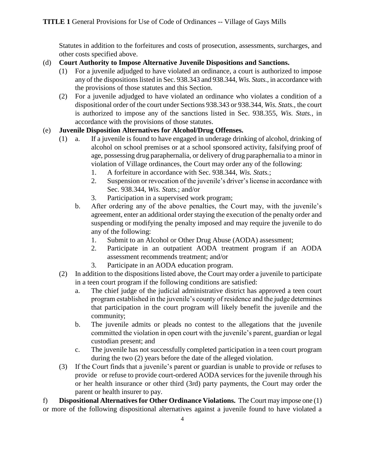Statutes in addition to the forfeitures and costs of prosecution, assessments, surcharges, and other costs specified above.

#### (d) **Court Authority to Impose Alternative Juvenile Dispositions and Sanctions.**

- (1) For a juvenile adjudged to have violated an ordinance, a court is authorized to impose any of the dispositions listed in Sec. 938.343 and 938.344, *Wis. Stats.,* in accordance with the provisions of those statutes and this Section.
- (2) For a juvenile adjudged to have violated an ordinance who violates a condition of a dispositional order of the court under Sections 938.343 or 938.344, *Wis. Stats.,* the court is authorized to impose any of the sanctions listed in Sec. 938.355, *Wis. Stats.,* in accordance with the provisions of those statutes.

## (e) **Juvenile Disposition Alternatives for Alcohol/Drug Offenses.**

- (1) a. If a juvenile is found to have engaged in underage drinking of alcohol, drinking of alcohol on school premises or at a school sponsored activity, falsifying proof of age, possessing drug paraphernalia, or delivery of drug paraphernalia to a minor in violation of Village ordinances, the Court may order any of the following:
	- 1. A forfeiture in accordance with Sec. 938.344, *Wis. Stats.*;
	- 2. Suspension or revocation of the juvenile's driver's license in accordance with Sec. 938.344, *Wis. Stats.*; and/or
	- 3. Participation in a supervised work program;
	- b. After ordering any of the above penalties, the Court may, with the juvenile's agreement, enter an additional order staying the execution of the penalty order and suspending or modifying the penalty imposed and may require the juvenile to do any of the following:
		- 1. Submit to an Alcohol or Other Drug Abuse (AODA) assessment;
		- 2. Participate in an outpatient AODA treatment program if an AODA assessment recommends treatment; and/or
		- 3. Participate in an AODA education program.
- (2) In addition to the dispositions listed above, the Court may order a juvenile to participate in a teen court program if the following conditions are satisfied:
	- a. The chief judge of the judicial administrative district has approved a teen court program established in the juvenile's county of residence and the judge determines that participation in the court program will likely benefit the juvenile and the community;
	- b. The juvenile admits or pleads no contest to the allegations that the juvenile committed the violation in open court with the juvenile's parent, guardian or legal custodian present; and
	- c. The juvenile has not successfully completed participation in a teen court program during the two (2) years before the date of the alleged violation.
- (3) If the Court finds that a juvenile's parent or guardian is unable to provide or refuses to provide or refuse to provide court-ordered AODA services for the juvenile through his or her health insurance or other third (3rd) party payments, the Court may order the parent or health insurer to pay.

f) **Dispositional Alternatives for Other Ordinance Violations.** The Court may impose one (1) or more of the following dispositional alternatives against a juvenile found to have violated a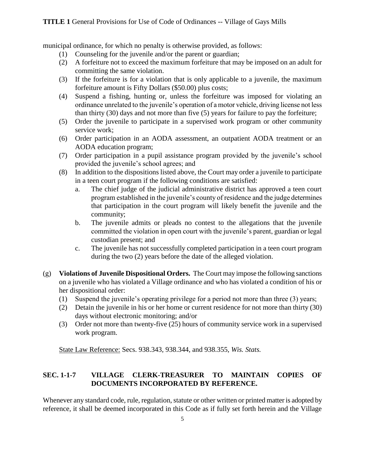municipal ordinance, for which no penalty is otherwise provided, as follows:

- (1) Counseling for the juvenile and/or the parent or guardian;
- (2) A forfeiture not to exceed the maximum forfeiture that may be imposed on an adult for committing the same violation.
- (3) If the forfeiture is for a violation that is only applicable to a juvenile, the maximum forfeiture amount is Fifty Dollars (\$50.00) plus costs;
- (4) Suspend a fishing, hunting or, unless the forfeiture was imposed for violating an ordinance unrelated to the juvenile's operation of a motor vehicle, driving license not less than thirty (30) days and not more than five (5) years for failure to pay the forfeiture;
- (5) Order the juvenile to participate in a supervised work program or other community service work;
- (6) Order participation in an AODA assessment, an outpatient AODA treatment or an AODA education program;
- (7) Order participation in a pupil assistance program provided by the juvenile's school provided the juvenile's school agrees; and
- (8) In addition to the dispositions listed above, the Court may order a juvenile to participate in a teen court program if the following conditions are satisfied:
	- a. The chief judge of the judicial administrative district has approved a teen court program established in the juvenile's county of residence and the judge determines that participation in the court program will likely benefit the juvenile and the community;
	- b. The juvenile admits or pleads no contest to the allegations that the juvenile committed the violation in open court with the juvenile's parent, guardian or legal custodian present; and
	- c. The juvenile has not successfully completed participation in a teen court program during the two (2) years before the date of the alleged violation.
- (g) **Violations of Juvenile Dispositional Orders.** The Court may impose the following sanctions on a juvenile who has violated a Village ordinance and who has violated a condition of his or her dispositional order:
	- (1) Suspend the juvenile's operating privilege for a period not more than three (3) years;
	- (2) Detain the juvenile in his or her home or current residence for not more than thirty (30) days without electronic monitoring; and/or
	- (3) Order not more than twenty-five (25) hours of community service work in a supervised work program.

State Law Reference: Secs. 938.343, 938.344, and 938.355, *Wis. Stats.*

## **SEC. 1-1-7 VILLAGE CLERK-TREASURER TO MAINTAIN COPIES OF DOCUMENTS INCORPORATED BY REFERENCE.**

Whenever any standard code, rule, regulation, statute or other written or printed matter is adopted by reference, it shall be deemed incorporated in this Code as if fully set forth herein and the Village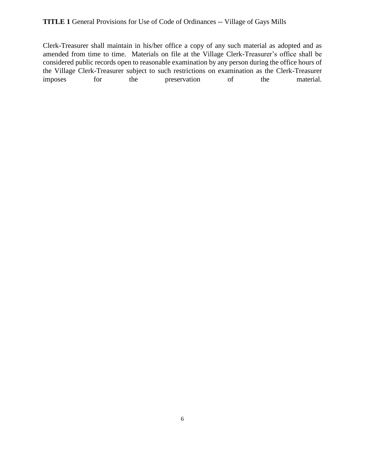Clerk-Treasurer shall maintain in his/her office a copy of any such material as adopted and as amended from time to time. Materials on file at the Village Clerk-Treasurer's office shall be considered public records open to reasonable examination by any person during the office hours of the Village Clerk-Treasurer subject to such restrictions on examination as the Clerk-Treasurer imposes for the preservation of the material.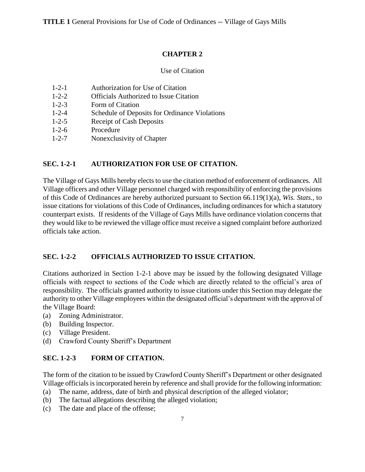#### **CHAPTER 2**

#### Use of Citation

- 1-2-1 Authorization for Use of Citation
- 1-2-2 Officials Authorized to Issue Citation
- 1-2-3 Form of Citation
- 1-2-4 Schedule of Deposits for Ordinance Violations
- 1-2-5 Receipt of Cash Deposits
- 1-2-6 Procedure
- 1-2-7 Nonexclusivity of Chapter

#### **SEC. 1-2-1 AUTHORIZATION FOR USE OF CITATION.**

The Village of Gays Mills hereby elects to use the citation method of enforcement of ordinances. All Village officers and other Village personnel charged with responsibility of enforcing the provisions of this Code of Ordinances are hereby authorized pursuant to Section 66.119(1)(a), *Wis. Stats.,* to issue citations for violations of this Code of Ordinances, including ordinances for which a statutory counterpart exists. If residents of the Village of Gays Mills have ordinance violation concerns that they would like to be reviewed the village office must receive a signed complaint before authorized officials take action.

#### **SEC. 1-2-2 OFFICIALS AUTHORIZED TO ISSUE CITATION.**

Citations authorized in Section 1-2-1 above may be issued by the following designated Village officials with respect to sections of the Code which are directly related to the official's area of responsibility. The officials granted authority to issue citations under this Section may delegate the authority to other Village employees within the designated official's department with the approval of the Village Board:

- (a) Zoning Administrator.
- (b) Building Inspector.
- (c) Village President.
- (d) Crawford County Sheriff's Department

#### **SEC. 1-2-3 FORM OF CITATION.**

The form of the citation to be issued by Crawford County Sheriff's Department or other designated Village officials is incorporated herein by reference and shall provide for the following information:

- (a) The name, address, date of birth and physical description of the alleged violator;
- (b) The factual allegations describing the alleged violation;
- (c) The date and place of the offense;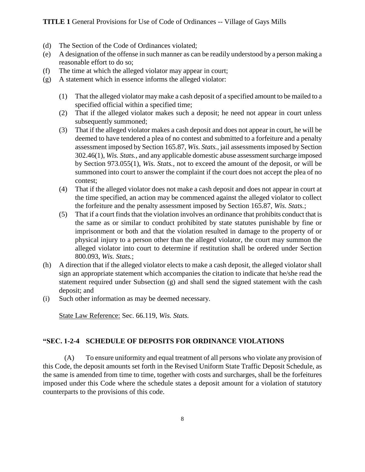- (d) The Section of the Code of Ordinances violated;
- (e) A designation of the offense in such manner as can be readily understood by a person making a reasonable effort to do so;
- (f) The time at which the alleged violator may appear in court;
- (g) A statement which in essence informs the alleged violator:
	- (1) That the alleged violator may make a cash deposit of a specified amount to be mailed to a specified official within a specified time;
	- (2) That if the alleged violator makes such a deposit; he need not appear in court unless subsequently summoned;
	- (3) That if the alleged violator makes a cash deposit and does not appear in court, he will be deemed to have tendered a plea of no contest and submitted to a forfeiture and a penalty assessment imposed by Section 165.87, *Wis. Stats.,* jail assessments imposed by Section 302.46(1), *Wis. Stats.,* and any applicable domestic abuse assessment surcharge imposed by Section 973.055(1), *Wis. Stats.,* not to exceed the amount of the deposit, or will be summoned into court to answer the complaint if the court does not accept the plea of no contest;
	- (4) That if the alleged violator does not make a cash deposit and does not appear in court at the time specified, an action may be commenced against the alleged violator to collect the forfeiture and the penalty assessment imposed by Section 165.87, *Wis. Stats.*;
	- (5) That if a court finds that the violation involves an ordinance that prohibits conduct that is the same as or similar to conduct prohibited by state statutes punishable by fine or imprisonment or both and that the violation resulted in damage to the property of or physical injury to a person other than the alleged violator, the court may summon the alleged violator into court to determine if restitution shall be ordered under Section 800.093, *Wis. Stats.*;
- (h) A direction that if the alleged violator elects to make a cash deposit, the alleged violator shall sign an appropriate statement which accompanies the citation to indicate that he/she read the statement required under Subsection (g) and shall send the signed statement with the cash deposit; and
- (i) Such other information as may be deemed necessary.

State Law Reference: Sec. 66.119, *Wis. Stats.*

#### **"SEC. 1-2-4 SCHEDULE OF DEPOSITS FOR ORDINANCE VIOLATIONS**

(A) To ensure uniformity and equal treatment of all persons who violate any provision of this Code, the deposit amounts set forth in the Revised Uniform State Traffic Deposit Schedule, as the same is amended from time to time, together with costs and surcharges, shall be the forfeitures imposed under this Code where the schedule states a deposit amount for a violation of statutory counterparts to the provisions of this code.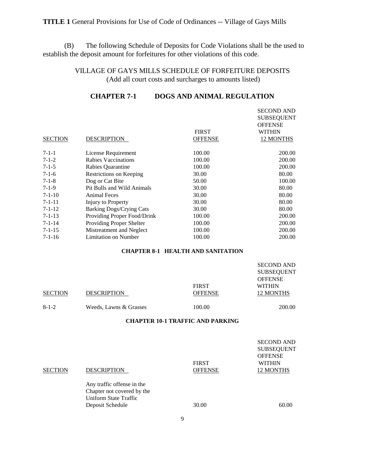(B) The following Schedule of Deposits for Code Violations shall be the used to establish the deposit amount for forfeitures for other violations of this code.

## VILLAGE OF GAYS MILLS SCHEDULE OF FORFEITURE DEPOSITS (Add all court costs and surcharges to amounts listed)

## **CHAPTER 7-1 DOGS AND ANIMAL REGULATION**

|                |                             | <b>FIRST</b>   | <b>SECOND AND</b><br><b>SUBSEQUENT</b><br><b>OFFENSE</b><br><b>WITHIN</b> |
|----------------|-----------------------------|----------------|---------------------------------------------------------------------------|
| <b>SECTION</b> | DESCRIPTION                 | <b>OFFENSE</b> | 12 MONTHS                                                                 |
| $7 - 1 - 1$    | License Requirement         | 100.00         | 200.00                                                                    |
| $7 - 1 - 2$    | Rabies Vaccinations         | 100.00         | 200.00                                                                    |
| $7 - 1 - 5$    | Rabies Quarantine           | 100.00         | 200.00                                                                    |
| $7 - 1 - 6$    | Restrictions on Keeping     | 30.00          | 80.00                                                                     |
| $7 - 1 - 8$    | Dog or Cat Bite             | 50.00          | 100.00                                                                    |
| $7-1-9$        | Pit Bulls and Wild Animals  | 30.00          | 80.00                                                                     |
| $7 - 1 - 10$   | <b>Animal Feces</b>         | 30.00          | 80.00                                                                     |
| $7 - 1 - 11$   | Injury to Property          | 30.00          | 80.00                                                                     |
| $7 - 1 - 12$   | Barking Dogs/Crying Cats    | 30.00          | 80.00                                                                     |
| $7 - 1 - 13$   | Providing Proper Food/Drink | 100.00         | 200.00                                                                    |
| $7 - 1 - 14$   | Providing Proper Shelter    | 100.00         | 200.00                                                                    |
| $7 - 1 - 15$   | Mistreatment and Neglect    | 100.00         | 200.00                                                                    |
| $7 - 1 - 16$   | Limitation on Number        | 100.00         | 200.00                                                                    |

#### **CHAPTER 8-1 HEALTH AND SANITATION**

|                |                        |                                | <b>SECOND AND</b><br><b>SUBSEQUENT</b>       |  |
|----------------|------------------------|--------------------------------|----------------------------------------------|--|
| <b>SECTION</b> | <b>DESCRIPTION</b>     | <b>FIRST</b><br><b>OFFENSE</b> | <b>OFFENSE</b><br><b>WITHIN</b><br>12 MONTHS |  |
| $8 - 1 - 2$    | Weeds, Lawns & Grasses | 100.00                         | 200.00                                       |  |

#### **CHAPTER 10-1 TRAFFIC AND PARKING**

| SECTION | <b>DESCRIPTION</b>                                                                                    | <b>FIRST</b><br><b>OFFENSE</b> | <b>SECOND AND</b><br><b>SUBSEQUENT</b><br><b>OFFENSE</b><br><b>WITHIN</b><br>12 MONTHS |
|---------|-------------------------------------------------------------------------------------------------------|--------------------------------|----------------------------------------------------------------------------------------|
|         | Any traffic offense in the<br>Chapter not covered by the<br>Uniform State Traffic<br>Deposit Schedule | 30.00                          | 60.00                                                                                  |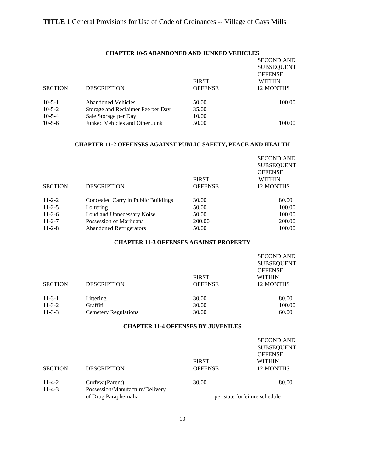|                | <b>CHAPTER 10-5 ABANDONED AND JUNKED VEHICLES</b> |                |                   |
|----------------|---------------------------------------------------|----------------|-------------------|
|                |                                                   |                | <b>SECOND AND</b> |
|                |                                                   |                | <b>SUBSEQUENT</b> |
|                |                                                   |                | <b>OFFENSE</b>    |
|                |                                                   | <b>FIRST</b>   | <b>WITHIN</b>     |
| <b>SECTION</b> | <b>DESCRIPTION</b>                                | <b>OFFENSE</b> | 12 MONTHS         |
| $10-5-1$       | <b>Abandoned Vehicles</b>                         | 50.00          | 100.00            |
| $10-5-2$       | Storage and Reclaimer Fee per Day                 | 35.00          |                   |
| $10-5-4$       | Sale Storage per Day                              | 10.00          |                   |
| $10-5-6$       | Junked Vehicles and Other Junk                    | 50.00          | 100.00            |

#### **CHAPTER 11-2 OFFENSES AGAINST PUBLIC SAFETY, PEACE AND HEALTH**

|                |                                     |                | <b>SECOND AND</b><br><b>SUBSEQUENT</b><br><b>OFFENSE</b> |
|----------------|-------------------------------------|----------------|----------------------------------------------------------|
|                |                                     | <b>FIRST</b>   | <b>WITHIN</b>                                            |
| <b>SECTION</b> | <b>DESCRIPTION</b>                  | <b>OFFENSE</b> | 12 MONTHS                                                |
| $11 - 2 - 2$   | Concealed Carry in Public Buildings | 30.00          | 80.00                                                    |
| $11 - 2 - 5$   | Loitering                           | 50.00          | 100.00                                                   |
| $11 - 2 - 6$   | Loud and Unnecessary Noise          | 50.00          | 100.00                                                   |
| $11 - 2 - 7$   | Possession of Marijuana             | 200.00         | 200.00                                                   |
| $11 - 2 - 8$   | <b>Abandoned Refrigerators</b>      | 50.00          | 100.00                                                   |

#### **CHAPTER 11-3 OFFENSES AGAINST PROPERTY**

| <b>SECTION</b> | <b>DESCRIPTION</b>          | <b>FIRST</b><br><b>OFFENSE</b> | <b>SECOND AND</b><br><b>SUBSEQUENT</b><br><b>OFFENSE</b><br><b>WITHIN</b><br>12 MONTHS |
|----------------|-----------------------------|--------------------------------|----------------------------------------------------------------------------------------|
| $11 - 3 - 1$   | Littering                   | 30.00                          | 80.00                                                                                  |
| $11-3-2$       | Graffiti                    | 30.00                          | 100.00                                                                                 |
| $11 - 3 - 3$   | <b>Cemetery Regulations</b> | 30.00                          | 60.00                                                                                  |

#### **CHAPTER 11-4 OFFENSES BY JUVENILES**

| <b>SECTION</b> | <b>DESCRIPTION</b>                                       | <b>FIRST</b><br><b>OFFENSE</b> | <b>SECOND AND</b><br><b>SUBSEQUENT</b><br><b>OFFENSE</b><br><b>WITHIN</b><br>12 MONTHS |
|----------------|----------------------------------------------------------|--------------------------------|----------------------------------------------------------------------------------------|
| $11 - 4 - 2$   | Curfew (Parent)                                          | 30.00                          | 80.00                                                                                  |
| $11-4-3$       | Possession/Manufacture/Delivery<br>of Drug Paraphernalia |                                | per state forfeiture schedule                                                          |